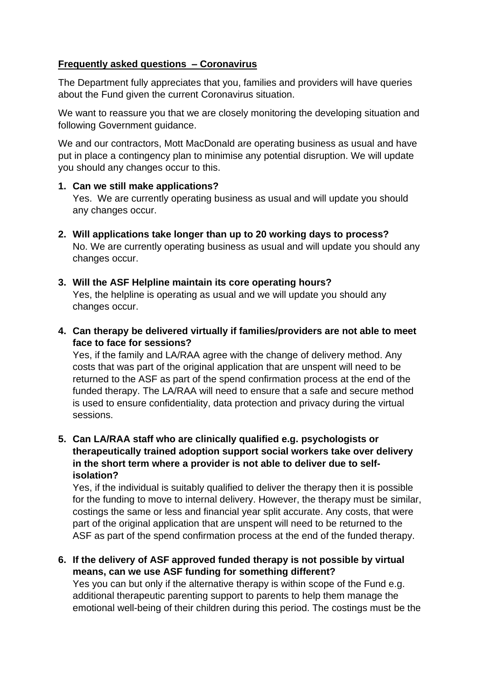## **Frequently asked questions – Coronavirus**

The Department fully appreciates that you, families and providers will have queries about the Fund given the current Coronavirus situation.

We want to reassure you that we are closely monitoring the developing situation and following Government guidance.

We and our contractors, Mott MacDonald are operating business as usual and have put in place a contingency plan to minimise any potential disruption. We will update you should any changes occur to this.

## **1. Can we still make applications?**

Yes. We are currently operating business as usual and will update you should any changes occur.

- **2. Will applications take longer than up to 20 working days to process?** No. We are currently operating business as usual and will update you should any changes occur.
- **3. Will the ASF Helpline maintain its core operating hours?** Yes, the helpline is operating as usual and we will update you should any changes occur.
- **4. Can therapy be delivered virtually if families/providers are not able to meet face to face for sessions?**

Yes, if the family and LA/RAA agree with the change of delivery method. Any costs that was part of the original application that are unspent will need to be returned to the ASF as part of the spend confirmation process at the end of the funded therapy. The LA/RAA will need to ensure that a safe and secure method is used to ensure confidentiality, data protection and privacy during the virtual sessions.

**5. Can LA/RAA staff who are clinically qualified e.g. psychologists or therapeutically trained adoption support social workers take over delivery in the short term where a provider is not able to deliver due to selfisolation?**

Yes, if the individual is suitably qualified to deliver the therapy then it is possible for the funding to move to internal delivery. However, the therapy must be similar, costings the same or less and financial year split accurate. Any costs, that were part of the original application that are unspent will need to be returned to the ASF as part of the spend confirmation process at the end of the funded therapy.

**6. If the delivery of ASF approved funded therapy is not possible by virtual means, can we use ASF funding for something different?**

Yes you can but only if the alternative therapy is within scope of the Fund e.g. additional therapeutic parenting support to parents to help them manage the emotional well-being of their children during this period. The costings must be the